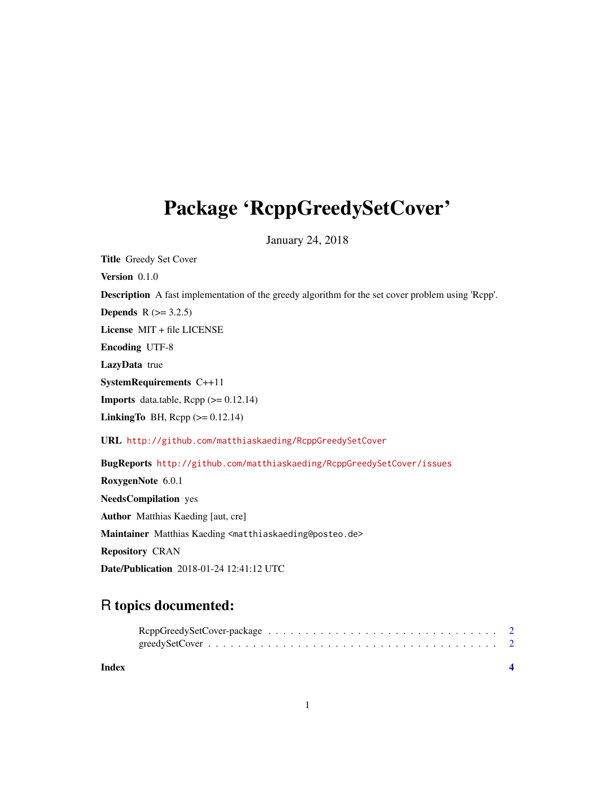## Package 'RcppGreedySetCover'

January 24, 2018

Title Greedy Set Cover Version 0.1.0 Description A fast implementation of the greedy algorithm for the set cover problem using 'Rcpp'. **Depends**  $R$  ( $>= 3.2.5$ ) License MIT + file LICENSE Encoding UTF-8 LazyData true SystemRequirements C++11 **Imports** data.table,  $\text{Rcpp}$  ( $\geq 0.12.14$ ) LinkingTo BH,  $\text{Rcpp} (> = 0.12.14)$ URL <http://github.com/matthiaskaeding/RcppGreedySetCover> BugReports <http://github.com/matthiaskaeding/RcppGreedySetCover/issues> RoxygenNote 6.0.1 NeedsCompilation yes Author Matthias Kaeding [aut, cre] Maintainer Matthias Kaeding <matthiaskaeding@posteo.de> Repository CRAN Date/Publication 2018-01-24 12:41:12 UTC

### R topics documented:

| Index |  |
|-------|--|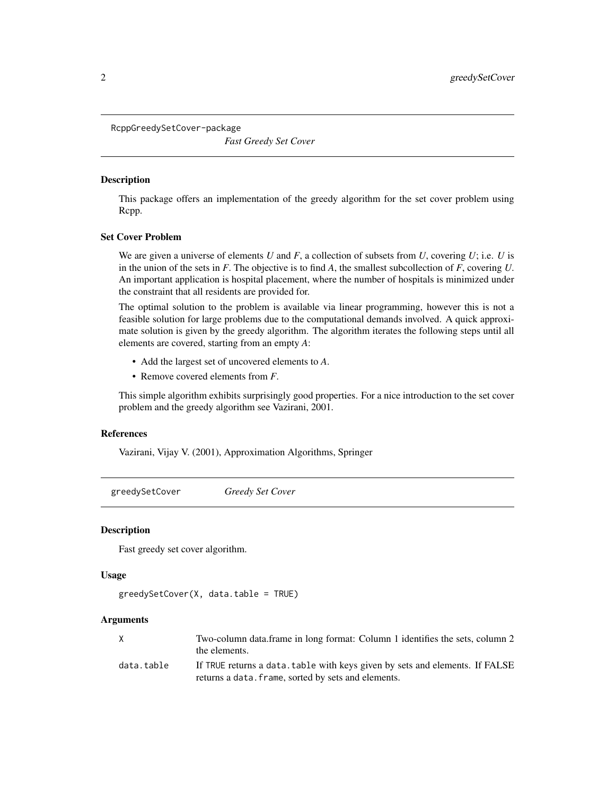<span id="page-1-0"></span>RcppGreedySetCover-package

*Fast Greedy Set Cover*

#### **Description**

This package offers an implementation of the greedy algorithm for the set cover problem using Rcpp.

#### Set Cover Problem

We are given a universe of elements *U* and *F*, a collection of subsets from *U*, covering *U*; i.e. *U* is in the union of the sets in *F*. The objective is to find *A*, the smallest subcollection of *F*, covering *U*. An important application is hospital placement, where the number of hospitals is minimized under the constraint that all residents are provided for.

The optimal solution to the problem is available via linear programming, however this is not a feasible solution for large problems due to the computational demands involved. A quick approximate solution is given by the greedy algorithm. The algorithm iterates the following steps until all elements are covered, starting from an empty *A*:

- Add the largest set of uncovered elements to *A*.
- Remove covered elements from *F*.

This simple algorithm exhibits surprisingly good properties. For a nice introduction to the set cover problem and the greedy algorithm see Vazirani, 2001.

#### References

Vazirani, Vijay V. (2001), Approximation Algorithms, Springer

greedySetCover *Greedy Set Cover*

#### Description

Fast greedy set cover algorithm.

#### Usage

```
greedySetCover(X, data.table = TRUE)
```
#### Arguments

|            | Two-column data.frame in long format: Column 1 identifies the sets, column 2 |
|------------|------------------------------------------------------------------------------|
|            | the elements.                                                                |
| data.table | If TRUE returns a data. table with keys given by sets and elements. If FALSE |
|            | returns a data. frame, sorted by sets and elements.                          |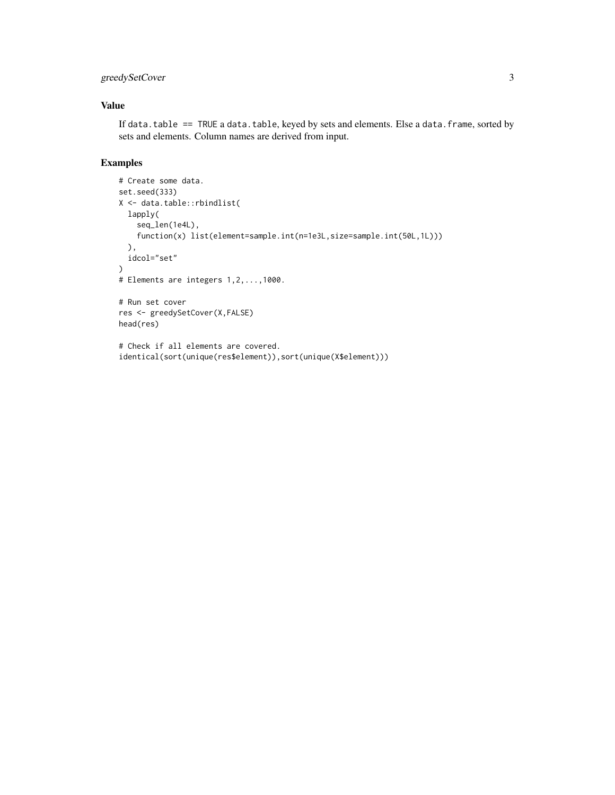#### greedySetCover 3

#### Value

If data.table == TRUE a data.table, keyed by sets and elements. Else a data.frame, sorted by sets and elements. Column names are derived from input.

#### Examples

```
# Create some data.
set.seed(333)
X <- data.table::rbindlist(
 lapply(
   seq_len(1e4L),
   function(x) list(element=sample.int(n=1e3L,size=sample.int(50L,1L)))
  ),
  idcol="set"
)
# Elements are integers 1,2,...,1000.
# Run set cover
res <- greedySetCover(X,FALSE)
head(res)
# Check if all elements are covered.
identical(sort(unique(res$element)),sort(unique(X$element)))
```